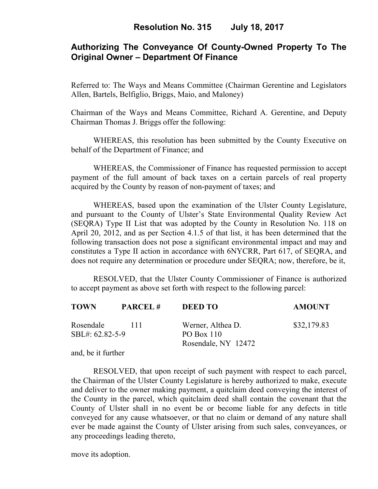# **Authorizing The Conveyance Of County-Owned Property To The Original Owner – Department Of Finance**

Referred to: The Ways and Means Committee (Chairman Gerentine and Legislators Allen, Bartels, Belfiglio, Briggs, Maio, and Maloney)

Chairman of the Ways and Means Committee, Richard A. Gerentine, and Deputy Chairman Thomas J. Briggs offer the following:

WHEREAS, this resolution has been submitted by the County Executive on behalf of the Department of Finance; and

WHEREAS, the Commissioner of Finance has requested permission to accept payment of the full amount of back taxes on a certain parcels of real property acquired by the County by reason of non-payment of taxes; and

WHEREAS, based upon the examination of the Ulster County Legislature, and pursuant to the County of Ulster's State Environmental Quality Review Act (SEQRA) Type II List that was adopted by the County in Resolution No. 118 on April 20, 2012, and as per Section 4.1.5 of that list, it has been determined that the following transaction does not pose a significant environmental impact and may and constitutes a Type II action in accordance with 6NYCRR, Part 617, of SEQRA, and does not require any determination or procedure under SEQRA; now, therefore, be it,

RESOLVED, that the Ulster County Commissioner of Finance is authorized to accept payment as above set forth with respect to the following parcel:

| TOWN                         | <b>PARCEL#</b> | <b>DEED TO</b>                    | <b>AMOUNT</b> |
|------------------------------|----------------|-----------------------------------|---------------|
| Rosendale<br>SBL#: 62.82-5-9 | -111           | Werner, Althea D.<br>$PO$ Box 110 | \$32,179.83   |
|                              |                | Rosendale, NY 12472               |               |

and, be it further

RESOLVED, that upon receipt of such payment with respect to each parcel, the Chairman of the Ulster County Legislature is hereby authorized to make, execute and deliver to the owner making payment, a quitclaim deed conveying the interest of the County in the parcel, which quitclaim deed shall contain the covenant that the County of Ulster shall in no event be or become liable for any defects in title conveyed for any cause whatsoever, or that no claim or demand of any nature shall ever be made against the County of Ulster arising from such sales, conveyances, or any proceedings leading thereto,

move its adoption.